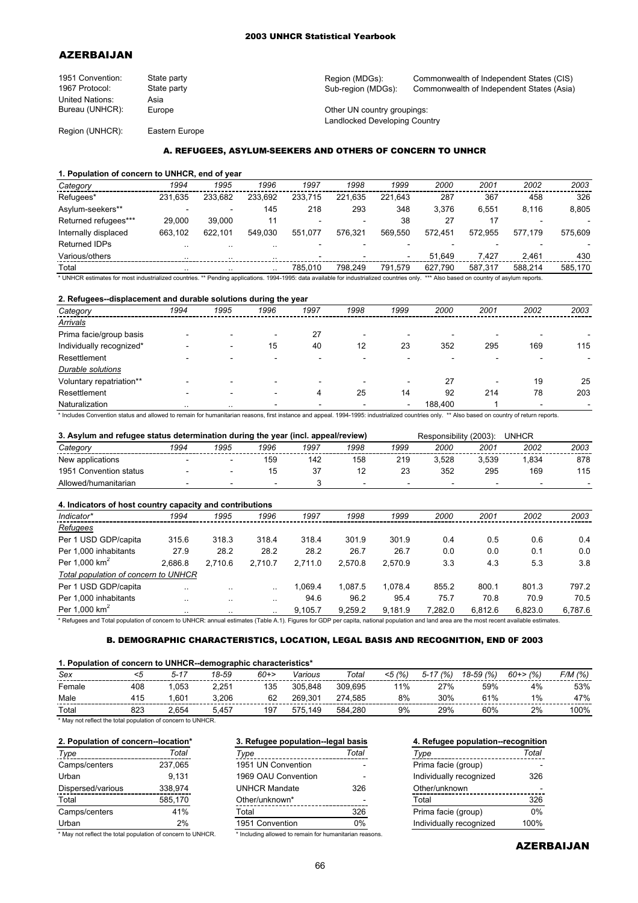### 2003 UNHCR Statistical Yearbook

# AZERBAIJAN

| 1951 Convention:       | State party | Region (MDGs):                | Commonwealth of Independent States (CIS)  |
|------------------------|-------------|-------------------------------|-------------------------------------------|
| 1967 Protocol:         | State party | Sub-region (MDGs):            | Commonwealth of Independent States (Asia) |
| <b>United Nations:</b> | Asia        |                               |                                           |
| Bureau (UNHCR):        | Europe      | Other UN country groupings:   |                                           |
|                        |             | Landlocked Developing Country |                                           |

Region (UNHCR): Eastern Europe

# A. REFUGEES, ASYLUM-SEEKERS AND OTHERS OF CONCERN TO UNHCR

### **1. Population of concern to UNHCR, end of year**

| Category                                                                                                                                                                                | 1994      | 1995      | 1996      | 1997    | 1998    | 1999    | 2000    | 2001    | 2002    | 2003    |
|-----------------------------------------------------------------------------------------------------------------------------------------------------------------------------------------|-----------|-----------|-----------|---------|---------|---------|---------|---------|---------|---------|
| Refugees*                                                                                                                                                                               | 231.635   | 233.682   | 233.692   | 233.715 | 221.635 | 221.643 | 287     | 367     | 458     | 326     |
| Asylum-seekers**                                                                                                                                                                        |           | -         | 145       | 218     | 293     | 348     | 3.376   | 6.551   | 8.116   | 8,805   |
| Returned refugees***                                                                                                                                                                    | 29.000    | 39.000    | 11        |         |         | 38      | 27      |         |         |         |
| Internally displaced                                                                                                                                                                    | 663.102   | 622.101   | 549.030   | 551.077 | 576.321 | 569.550 | 572.451 | 572.955 | 577.179 | 575.609 |
| Returned IDPs                                                                                                                                                                           | $\cdot$ . | $\ddotsc$ | $\cdot$ . |         |         |         |         |         |         |         |
| Various/others                                                                                                                                                                          | $\cdot$ . | $\ddotsc$ | $\cdot$ . |         |         |         | 51.649  | 7.427   | 2.461   | 430     |
| Total                                                                                                                                                                                   |           |           | $\cdot$ . | 785.010 | 798.249 | 791.579 | 627.790 | 587.317 | 588.214 | 585.170 |
| * UNHCR estimates for most industrialized countries. ** Pending applications. 1994-1995: data available for industrialized countries only. *** Also based on country of asylum reports. |           |           |           |         |         |         |         |         |         |         |

**2. Refugees--displacement and durable solutions during the year**

| z. Refugees--displacement and durable solutions during the year |                          |                          |      |                          |      |         |      |      |      |  |
|-----------------------------------------------------------------|--------------------------|--------------------------|------|--------------------------|------|---------|------|------|------|--|
| 1994                                                            | 1995                     | 1996                     | 1997 | 1998                     | 1999 | 2000    | 2001 | 2002 | 2003 |  |
|                                                                 |                          |                          |      |                          |      |         |      |      |      |  |
|                                                                 | $\overline{\phantom{0}}$ | $\overline{\phantom{a}}$ | 27   | $\overline{\phantom{0}}$ |      |         |      |      |      |  |
|                                                                 | $\overline{\phantom{a}}$ | 15                       | 40   | 12                       | 23   | 352     | 295  | 169  | 115  |  |
|                                                                 | $\overline{\phantom{0}}$ | $\overline{\phantom{0}}$ |      |                          |      |         |      |      |      |  |
|                                                                 |                          |                          |      |                          |      |         |      |      |      |  |
|                                                                 |                          |                          |      |                          |      | 27      |      | 19   | 25   |  |
|                                                                 | $\overline{\phantom{0}}$ | $\overline{\phantom{0}}$ | 4    | 25                       | 14   | 92      | 214  | 78   | 203  |  |
| $\cdot$ .                                                       | $\cdot$ .                | $\overline{\phantom{0}}$ |      |                          | ۰    | 188,400 |      | -    |      |  |
|                                                                 |                          |                          |      |                          |      |         |      |      |      |  |

\* Includes Convention status and allowed to remain for humanitarian reasons, first instance and appeal. 1994-1995: industrialized countries only. \*\* Also based on country of return reports.

| 3. Asylum and refugee status determination during the year (incl. appeal/review) |      |      |                          |      | <b>UNHCR</b><br>Responsibility (2003): |      |                          |       |                          |      |
|----------------------------------------------------------------------------------|------|------|--------------------------|------|----------------------------------------|------|--------------------------|-------|--------------------------|------|
| Category                                                                         | 1994 | 1995 | 1996                     | 1997 | 1998                                   | 1999 | 2000                     | 2001  | 2002                     | 2003 |
| New applications                                                                 |      | -    | 159                      | 142  | 158                                    | 219  | 3.528                    | 3.539 | .834                     | 878  |
| 1951 Convention status                                                           |      | -    |                          |      |                                        | 23   | 352                      | 295   | 169                      | 115  |
| Allowed/humanitarian                                                             |      |      | $\overline{\phantom{0}}$ |      | $\overline{\phantom{a}}$               |      | $\overline{\phantom{0}}$ |       | $\overline{\phantom{0}}$ |      |

### **4. Indicators of host country capacity and contributions**

| <b>.</b> Indicators of nost country capacity and continuutions                                                                                                                              |           |           |                      |         |         |         |         |         |         |         |
|---------------------------------------------------------------------------------------------------------------------------------------------------------------------------------------------|-----------|-----------|----------------------|---------|---------|---------|---------|---------|---------|---------|
| Indicator*                                                                                                                                                                                  | 1994      | 1995      | 1996                 | 1997    | 1998    | 1999    | 2000    | 2001    | 2002    | 2003    |
| Refugees                                                                                                                                                                                    |           |           |                      |         |         |         |         |         |         |         |
| Per 1 USD GDP/capita                                                                                                                                                                        | 315.6     | 318.3     | 318.4                | 318.4   | 301.9   | 301.9   | 0.4     | 0.5     | 0.6     | 0.4     |
| Per 1.000 inhabitants                                                                                                                                                                       | 27.9      | 28.2      | 28.2                 | 28.2    | 26.7    | 26.7    | 0.0     | 0.0     | 0.1     | 0.0     |
| Per $1.000$ km <sup>2</sup>                                                                                                                                                                 | 2.686.8   | 2.710.6   | 2.710.7              | 2.711.0 | 2.570.8 | 2.570.9 | 3.3     | 4.3     | 5.3     | 3.8     |
| Total population of concern to UNHCR                                                                                                                                                        |           |           |                      |         |         |         |         |         |         |         |
| Per 1 USD GDP/capita                                                                                                                                                                        | $\ddotsc$ | $\ddotsc$ | $\ddot{\phantom{a}}$ | 1.069.4 | 1.087.5 | 1.078.4 | 855.2   | 800.1   | 801.3   | 797.2   |
| Per 1.000 inhabitants                                                                                                                                                                       | $\cdot$ . | $\cdot$ . | $\ddotsc$            | 94.6    | 96.2    | 95.4    | 75.7    | 70.8    | 70.9    | 70.5    |
| Per 1.000 $km2$                                                                                                                                                                             | $\cdot$ . | $\cdot$ . | $\ddotsc$            | 9.105.7 | 9.259.2 | 9,181.9 | 7.282.0 | 6.812.6 | 6.823.0 | 6,787.6 |
| * Definees and Telefonalistics of concerns to HNHOD, procedurates (Telefon AL) Flames for ODD are contained actively and lead and lead area are the most conditions adjusting and contained |           |           |                      |         |         |         |         |         |         |         |

Refugees and Total population of concern to UNHCR: annual estimates (Table A.1). Figures for GDP per capita, national population and land area are the most recent available estimates.

## B. DEMOGRAPHIC CHARACTERISTICS, LOCATION, LEGAL BASIS AND RECOGNITION, END 0F 2003

# **1. Population of concern to UNHCR--demographic characteristics\***

| Sex    |     | $5 - 17$ | 18-59 | $60+>$ | Various | Total   | $<$ 5 (%) | (%<br>$5 - 17$ | 18-59 (%) | $60 \rightarrow 6$ | F/M (%) |
|--------|-----|----------|-------|--------|---------|---------|-----------|----------------|-----------|--------------------|---------|
| Female | 408 | .053     | 2.251 | 135    | 305.848 | 309.695 | 11%       | 27%            | 59%       | 4%                 | 53%     |
| Male   | 115 | .601     | 3.206 | 62     | 269.301 | 274.585 | 8%        | 30%            | 61%       | 1%                 | 47%     |
| Total  | 823 | .654     | 5.457 | 197    | 575.149 | 584.280 | 9%        | 29%            | 60%       | 2%                 | 100%    |

\* May not reflect the total population of concern to UNHCR.

| Type                                                       | Total   | Type                                                   | Total | Type                    | Total |
|------------------------------------------------------------|---------|--------------------------------------------------------|-------|-------------------------|-------|
| Camps/centers                                              | 237.065 | 1951 UN Convention                                     |       | Prima facie (group)     |       |
| Urban                                                      | 9.131   | 1969 OAU Convention                                    |       | Individually recognized | 326   |
| Dispersed/various                                          | 338.974 | <b>UNHCR Mandate</b>                                   | 326   | Other/unknown           |       |
| Total                                                      | 585.170 | Other/unknown*                                         |       | Total                   | 326   |
| Camps/centers                                              | 41%     | Total                                                  | 326   | Prima facie (group)     | 0%    |
| Urban                                                      | 2%      | 1951 Convention                                        | $0\%$ | Individually recognized | 100%  |
| * May not reflect the total population of concern to UNHCR |         | * Including allowed to remain for humanitarian reasons |       |                         |       |

|        | Total                                     | Type                                                    | Total |
|--------|-------------------------------------------|---------------------------------------------------------|-------|
| ers    | 237,065                                   | 1951 UN Convention                                      |       |
|        | 9.131                                     | 1969 OAU Convention                                     |       |
| arious | 338.974                                   | <b>UNHCR Mandate</b>                                    | 326   |
|        | 585,170                                   | Other/unknown*                                          |       |
| ers    | 41%                                       | Total                                                   | 326   |
|        | 2%                                        | 1951 Convention                                         | 0%    |
|        | the total population of concern to UNHCR. | * Including allowed to remain for humanitarian reasons. |       |

# **2. Population of concern--location\* 3. Refugee population--legal basis 4. Refugee population--recognition**

| $\cdots$                |      |
|-------------------------|------|
| Individually recognized | 326  |
| Other/unknown           |      |
| Total                   | 326  |
| Prima facie (group)     | 0%   |
| Individually recognized | 100% |